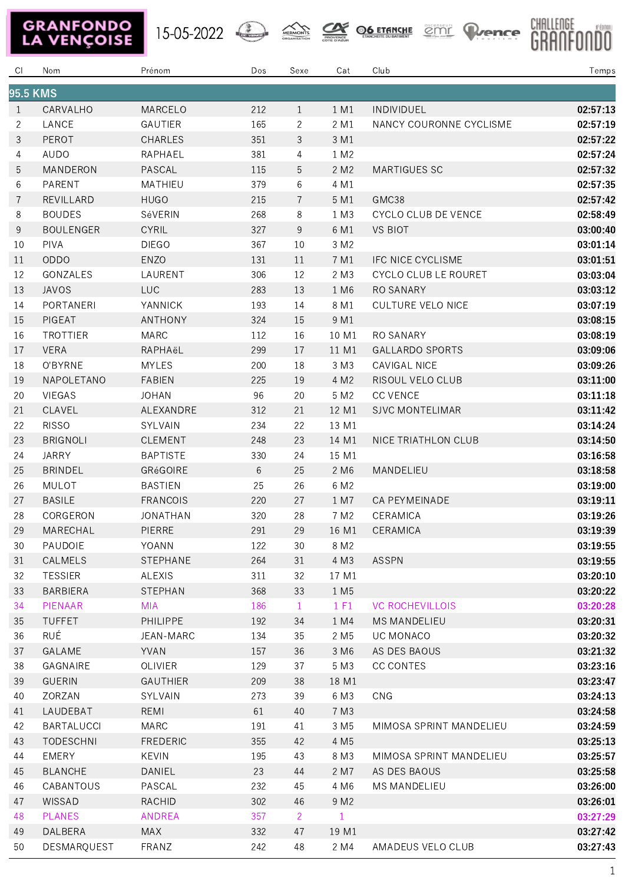15-05-2022 AREMONTS OF ETAILLE CITY PLANCE







| CI.             | Nom               | Prénom          | Dos | Sexe           | Cat              | Club                        | Temps    |  |
|-----------------|-------------------|-----------------|-----|----------------|------------------|-----------------------------|----------|--|
| <b>95.5 KMS</b> |                   |                 |     |                |                  |                             |          |  |
| $\mathbf{1}$    | CARVALHO          | MARCELO         | 212 | $\mathbf{1}$   | 1 M1             | INDIVIDUEL                  | 02:57:13 |  |
| $\overline{2}$  | LANCE             | GAUTIER         | 165 | $\mathbf{2}$   | 2 M1             | NANCY COURONNE CYCLISME     | 02:57:19 |  |
| 3               | PEROT             | <b>CHARLES</b>  | 351 | 3              | 3 M1             |                             | 02:57:22 |  |
| 4               | AUDO              | RAPHAEL         | 381 | 4              | 1 M2             |                             | 02:57:24 |  |
| 5               | MANDERON          | PASCAL          | 115 | 5              | 2 M2             | MARTIGUES SC                | 02:57:32 |  |
| 6               | PARENT            | MATHIEU         | 379 | 6              | 4 M1             |                             | 02:57:35 |  |
| 7               | REVILLARD         | <b>HUGO</b>     | 215 | $\overline{7}$ | 5 M1             | GMC38                       | 02:57:42 |  |
| 8               | <b>BOUDES</b>     | SéVERIN         | 268 | 8              | 1 M3             | CYCLO CLUB DE VENCE         | 02:58:49 |  |
| 9               | <b>BOULENGER</b>  | <b>CYRIL</b>    | 327 | 9              | 6 M1             | <b>VS BIOT</b>              | 03:00:40 |  |
| 10              | PIVA              | <b>DIEGO</b>    | 367 | 10             | 3 M2             |                             | 03:01:14 |  |
| 11              | <b>ODDO</b>       | ENZO            | 131 | 11             | 7 M1             | IFC NICE CYCLISME           | 03:01:51 |  |
| 12              | GONZALES          | LAURENT         | 306 | 12             | 2 M3             | <b>CYCLO CLUB LE ROURET</b> | 03:03:04 |  |
| 13              | <b>JAVOS</b>      | <b>LUC</b>      | 283 | 13             | 1 M <sub>6</sub> | RO SANARY                   | 03:03:12 |  |
| 14              | PORTANERI         | <b>YANNICK</b>  | 193 | 14             | 8 M1             | <b>CULTURE VELO NICE</b>    | 03:07:19 |  |
| 15              | PIGEAT            | ANTHONY         | 324 | 15             | 9 M1             |                             | 03:08:15 |  |
| 16              | <b>TROTTIER</b>   | MARC            | 112 | 16             | 10 M1            | RO SANARY                   | 03:08:19 |  |
| 17              | <b>VERA</b>       | RAPHAëL         | 299 | 17             | 11 M1            | <b>GALLARDO SPORTS</b>      | 03:09:06 |  |
| 18              | O'BYRNE           | <b>MYLES</b>    | 200 | 18             | 3 M3             | CAVIGAL NICE                | 03:09:26 |  |
| 19              | NAPOLETANO        | <b>FABIEN</b>   | 225 | 19             | 4 M2             | RISOUL VELO CLUB            | 03:11:00 |  |
| 20              | VIEGAS            | <b>JOHAN</b>    | 96  | 20             | 5 M2             | <b>CC VENCE</b>             | 03:11:18 |  |
| 21              | CLAVEL            | ALEXANDRE       | 312 | 21             | 12 M1            | <b>SJVC MONTELIMAR</b>      | 03:11:42 |  |
| 22              | <b>RISSO</b>      | SYLVAIN         | 234 | 22             | 13 M1            |                             | 03:14:24 |  |
| 23              | <b>BRIGNOLI</b>   | CLEMENT         | 248 | 23             | 14 M1            | NICE TRIATHLON CLUB         | 03:14:50 |  |
| 24              | <b>JARRY</b>      | <b>BAPTISTE</b> | 330 | 24             | 15 M1            |                             | 03:16:58 |  |
| 25              | <b>BRINDEL</b>    | GRéGOIRE        | 6   | 25             | 2 M <sub>6</sub> | MANDELIEU                   | 03:18:58 |  |
| 26              | MULOT             | <b>BASTIEN</b>  | 25  | 26             | 6 M2             |                             | 03:19:00 |  |
| 27              | <b>BASILE</b>     | <b>FRANCOIS</b> | 220 | 27             | 1 M7             | CA PEYMEINADE               | 03:19:11 |  |
| 28              | CORGERON          | <b>JONATHAN</b> | 320 | 28             | 7 M <sub>2</sub> | CERAMICA                    | 03:19:26 |  |
| 29              | MARECHAL          | PIERRE          | 291 | 29             | 16 M1            | CERAMICA                    | 03:19:39 |  |
| 30              | PAUDOIE           | YOANN           | 122 | 30             | 8 M2             |                             | 03:19:55 |  |
| 31              | CALMELS           | STEPHANE        | 264 | 31             | 4 M3             | <b>ASSPN</b>                | 03:19:55 |  |
| 32              | <b>TESSIER</b>    | <b>ALEXIS</b>   | 311 | 32             | 17 M1            |                             | 03:20:10 |  |
| 33              | <b>BARBIERA</b>   | <b>STEPHAN</b>  | 368 | 33             | 1 M <sub>5</sub> |                             | 03:20:22 |  |
| 34              | PIENAAR           | <b>MIA</b>      | 186 | $\mathbf{1}$   | 1 F1             | <b>VC ROCHEVILLOIS</b>      | 03:20:28 |  |
| 35              | <b>TUFFET</b>     | PHILIPPE        | 192 | 34             | 1 M4             | <b>MS MANDELIEU</b>         | 03:20:31 |  |
| 36              | RUÉ               | JEAN-MARC       | 134 | 35             | 2 M <sub>5</sub> | UC MONACO                   | 03:20:32 |  |
| 37              | <b>GALAME</b>     | YVAN            | 157 | 36             | 3 M6             | AS DES BAOUS                | 03:21:32 |  |
| 38              | GAGNAIRE          | <b>OLIVIER</b>  | 129 | 37             | 5 M3             | CC CONTES                   | 03:23:16 |  |
| 39              | <b>GUERIN</b>     | <b>GAUTHIER</b> | 209 | 38             | 18 M1            |                             | 03:23:47 |  |
| 40              | ZORZAN            | SYLVAIN         | 273 | 39             | 6 M3             | CNG                         | 03:24:13 |  |
| 41              | LAUDEBAT          | REMI            | 61  | 40             | 7 M3             |                             | 03:24:58 |  |
| 42              | <b>BARTALUCCI</b> | MARC            | 191 | 41             | 3 M <sub>5</sub> | MIMOSA SPRINT MANDELIEU     | 03:24:59 |  |
| 43              | <b>TODESCHNI</b>  | <b>FREDERIC</b> | 355 | 42             | 4 M <sub>5</sub> |                             | 03:25:13 |  |
| 44              | <b>EMERY</b>      | KEVIN           | 195 | 43             | 8 M3             | MIMOSA SPRINT MANDELIEU     | 03:25:57 |  |
| 45              | <b>BLANCHE</b>    | DANIEL          | 23  | 44             | 2 M7             | AS DES BAOUS                | 03:25:58 |  |
| 46              | CABANTOUS         | PASCAL          | 232 | 45             | 4 M6             | MS MANDELIEU                | 03:26:00 |  |
| 47              | WISSAD            | <b>RACHID</b>   | 302 | 46             | 9 M <sub>2</sub> |                             | 03:26:01 |  |
| 48              | <b>PLANES</b>     | <b>ANDREA</b>   | 357 | $\overline{2}$ | $\mathbf{1}$     |                             | 03:27:29 |  |
| 49              | DALBERA           | MAX             | 332 | 47             | 19 M1            |                             | 03:27:42 |  |
| 50              | DESMARQUEST       | FRANZ           | 242 | 48             | 2 M4             | AMADEUS VELO CLUB           | 03:27:43 |  |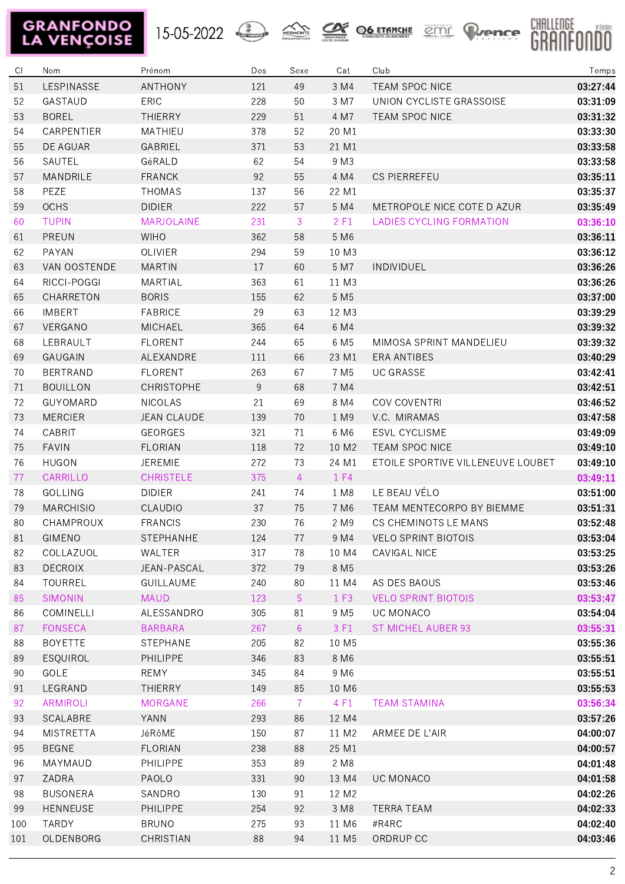





| CI  | Nom              | Prénom             | Dos | Sexe           | Cat              | Club                              | Temps    |
|-----|------------------|--------------------|-----|----------------|------------------|-----------------------------------|----------|
| 51  | LESPINASSE       | <b>ANTHONY</b>     | 121 | 49             | 3 M4             | <b>TEAM SPOC NICE</b>             | 03:27:44 |
| 52  | GASTAUD          | ERIC               | 228 | 50             | 3 M7             | UNION CYCLISTE GRASSOISE          | 03:31:09 |
| 53  | <b>BOREL</b>     | THIERRY            | 229 | 51             | 4 M7             | TEAM SPOC NICE                    | 03:31:32 |
| 54  | CARPENTIER       | MATHIEU            | 378 | 52             | 20 M1            |                                   | 03:33:30 |
| 55  | DE AGUAR         | GABRIEL            | 371 | 53             | 21 M1            |                                   | 03:33:58 |
| 56  | SAUTEL           | GéRALD             | 62  | 54             | 9 M3             |                                   | 03:33:58 |
| 57  | MANDRILE         | <b>FRANCK</b>      | 92  | 55             | 4 M4             | <b>CS PIERREFEU</b>               | 03:35:11 |
| 58  | PEZE             | <b>THOMAS</b>      | 137 | 56             | 22 M1            |                                   | 03:35:37 |
| 59  | <b>OCHS</b>      | <b>DIDIER</b>      | 222 | 57             | 5 M4             | METROPOLE NICE COTE D AZUR        | 03:35:49 |
| 60  | <b>TUPIN</b>     | MARJOLAINE         | 231 | 3              | 2 F1             | <b>LADIES CYCLING FORMATION</b>   | 03:36:10 |
| 61  | PREUN            | <b>WIHO</b>        | 362 | 58             | 5 M6             |                                   | 03:36:11 |
| 62  | PAYAN            | OLIVIER            | 294 | 59             | 10 M3            |                                   | 03:36:12 |
| 63  | VAN OOSTENDE     | <b>MARTIN</b>      | 17  | 60             | 5 M7             | <b>INDIVIDUEL</b>                 | 03:36:26 |
| 64  | RICCI-POGGI      | MARTIAL            | 363 | 61             | 11 M3            |                                   | 03:36:26 |
| 65  | CHARRETON        | <b>BORIS</b>       | 155 | 62             | 5 M <sub>5</sub> |                                   | 03:37:00 |
| 66  | <b>IMBERT</b>    | <b>FABRICE</b>     | 29  | 63             | 12 M3            |                                   | 03:39:29 |
| 67  | VERGANO          | <b>MICHAEL</b>     | 365 | 64             | 6 M4             |                                   | 03:39:32 |
| 68  | LEBRAULT         | <b>FLORENT</b>     | 244 | 65             | 6 M <sub>5</sub> | MIMOSA SPRINT MANDELIEU           | 03:39:32 |
| 69  | <b>GAUGAIN</b>   | ALEXANDRE          | 111 | 66             | 23 M1            | <b>ERA ANTIBES</b>                | 03:40:29 |
| 70  | <b>BERTRAND</b>  | <b>FLORENT</b>     | 263 | 67             | 7 M <sub>5</sub> | <b>UC GRASSE</b>                  | 03:42:41 |
| 71  | <b>BOUILLON</b>  | <b>CHRISTOPHE</b>  | 9   | 68             | 7 M4             |                                   | 03:42:51 |
| 72  | GUYOMARD         | <b>NICOLAS</b>     | 21  | 69             | 8 M4             | COV COVENTRI                      | 03:46:52 |
| 73  | <b>MERCIER</b>   | <b>JEAN CLAUDE</b> | 139 | 70             | 1 M9             | V.C. MIRAMAS                      | 03:47:58 |
| 74  | CABRIT           | <b>GEORGES</b>     | 321 | 71             | 6 M6             | <b>ESVL CYCLISME</b>              | 03:49:09 |
| 75  | <b>FAVIN</b>     | <b>FLORIAN</b>     | 118 | 72             | 10 M2            | TEAM SPOC NICE                    | 03:49:10 |
| 76  | <b>HUGON</b>     | <b>JEREMIE</b>     | 272 | 73             | 24 M1            | ETOILE SPORTIVE VILLENEUVE LOUBET | 03:49:10 |
| 77  | CARRILLO         | <b>CHRISTELE</b>   | 375 | $\overline{4}$ | 1 F4             |                                   | 03:49:11 |
| 78  | <b>GOLLING</b>   | <b>DIDIER</b>      | 241 | 74             | 1 M8             | LE BEAU VÉLO                      | 03:51:00 |
| 79  | <b>MARCHISIO</b> | CLAUDIO            | 37  | 75             | 7 M <sub>6</sub> | TEAM MENTECORPO BY BIEMME         | 03:51:31 |
| 80  | <b>CHAMPROUX</b> | <b>FRANCIS</b>     | 230 | 76             | 2 M9             | CS CHEMINOTS LE MANS              | 03:52:48 |
| 81  | GIMENO           | STEPHANHE          | 124 | 77             |                  | 9 M4 VELO SPRINT BIOTOIS          | 03:53:04 |
| 82  | COLLAZUOL        | WALTER             | 317 | 78             | 10 M4            | CAVIGAL NICE                      | 03:53:25 |
| 83  | <b>DECROIX</b>   | JEAN-PASCAL        | 372 | 79             | 8 M <sub>5</sub> |                                   | 03:53:26 |
| 84  | TOURREL          | GUILLAUME          | 240 | 80             | 11 M4            | AS DES BAOUS                      | 03:53:46 |
| 85  | <b>SIMONIN</b>   | <b>MAUD</b>        | 123 | 5              | 1 F3             | <b>VELO SPRINT BIOTOIS</b>        | 03:53:47 |
| 86  | COMINELLI        | ALESSANDRO         | 305 | 81             | 9 M <sub>5</sub> | UC MONACO                         | 03:54:04 |
| 87  | <b>FONSECA</b>   | <b>BARBARA</b>     | 267 | 6              | 3 F1             | <b>ST MICHEL AUBER 93</b>         | 03:55:31 |
| 88  | <b>BOYETTE</b>   | STEPHANE           | 205 | 82             | 10 M5            |                                   | 03:55:36 |
| 89  | ESQUIROL         | PHILIPPE           | 346 | 83             | 8 M6             |                                   | 03:55:51 |
| 90  | GOLE             | REMY               | 345 | 84             | 9 M <sub>6</sub> |                                   | 03:55:51 |
| 91  | LEGRAND          | <b>THIERRY</b>     | 149 | 85             | 10 M6            |                                   | 03:55:53 |
| 92  | <b>ARMIROLI</b>  | <b>MORGANE</b>     | 266 | $\overline{7}$ | 4 F1             | <b>TEAM STAMINA</b>               | 03:56:34 |
| 93  | SCALABRE         | YANN               | 293 | 86             | 12 M4            |                                   | 03:57:26 |
| 94  | <b>MISTRETTA</b> | JéRôME             | 150 | 87             | 11 M2            | ARMEE DE L'AIR                    | 04:00:07 |
| 95  | <b>BEGNE</b>     | <b>FLORIAN</b>     | 238 | 88             | 25 M1            |                                   | 04:00:57 |
| 96  | MAYMAUD          | PHILIPPE           | 353 | 89             | 2 M8             |                                   | 04:01:48 |
| 97  | ZADRA            | PAOLO              | 331 | 90             | 13 M4            | UC MONACO                         | 04:01:58 |
| 98  | <b>BUSONERA</b>  | SANDRO             | 130 | 91             | 12 M2            |                                   | 04:02:26 |
| 99  | <b>HENNEUSE</b>  | PHILIPPE           | 254 | 92             | 3 M8             | <b>TERRA TEAM</b>                 | 04:02:33 |
| 100 | TARDY            | <b>BRUNO</b>       | 275 | 93             | 11 M6            | #R4RC                             | 04:02:40 |
| 101 | OLDENBORG        | CHRISTIAN          | 88  | 94             | 11 M5            | ORDRUP CC                         | 04:03:46 |
|     |                  |                    |     |                |                  |                                   |          |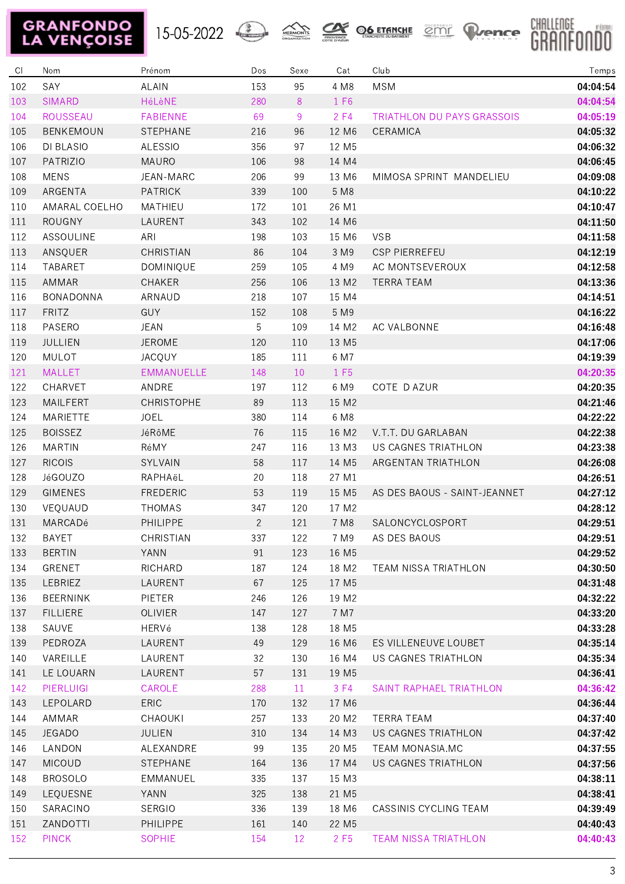







| C1  | Nom              | Prénom            | Dos            | Sexe | Cat               | Club                         | Temps    |
|-----|------------------|-------------------|----------------|------|-------------------|------------------------------|----------|
| 102 | SAY              | <b>ALAIN</b>      | 153            | 95   | 4 M8              | <b>MSM</b>                   | 04:04:54 |
| 103 | <b>SIMARD</b>    | HéLèNE            | 280            | 8    | 1 F6              |                              | 04:04:54 |
| 104 | ROUSSEAU         | <b>FABIENNE</b>   | 69             | 9    | 2F4               | TRIATHLON DU PAYS GRASSOIS   | 04:05:19 |
| 105 | <b>BENKEMOUN</b> | <b>STEPHANE</b>   | 216            | 96   | 12 M6             | CERAMICA                     | 04:05:32 |
| 106 | DI BLASIO        | <b>ALESSIO</b>    | 356            | 97   | 12 M5             |                              | 04:06:32 |
| 107 | PATRIZIO         | MAURO             | 106            | 98   | 14 M4             |                              | 04:06:45 |
| 108 | <b>MENS</b>      | JEAN-MARC         | 206            | 99   | 13 M6             | MIMOSA SPRINT MANDELIEU      | 04:09:08 |
| 109 | ARGENTA          | <b>PATRICK</b>    | 339            | 100  | 5 M8              |                              | 04:10:22 |
| 110 | AMARAL COELHO    | MATHIEU           | 172            | 101  | 26 M1             |                              | 04:10:47 |
| 111 | <b>ROUGNY</b>    | LAURENT           | 343            | 102  | 14 M6             |                              | 04:11:50 |
| 112 | <b>ASSOULINE</b> | ARI               | 198            | 103  | 15 M6             | <b>VSB</b>                   | 04:11:58 |
| 113 | ANSQUER          | CHRISTIAN         | 86             | 104  | 3 M9              | <b>CSP PIERREFEU</b>         | 04:12:19 |
| 114 | TABARET          | DOMINIQUE         | 259            | 105  | 4 M9              | AC MONTSEVEROUX              | 04:12:58 |
| 115 | AMMAR            | CHAKER            | 256            | 106  | 13 M2             | <b>TERRA TEAM</b>            | 04:13:36 |
| 116 | BONADONNA        | ARNAUD            | 218            | 107  | 15 M4             |                              | 04:14:51 |
| 117 | <b>FRITZ</b>     | GUY               | 152            | 108  | 5 M9              |                              | 04:16:22 |
| 118 | PASERO           | <b>JEAN</b>       | 5              | 109  | 14 M2             | AC VALBONNE                  | 04:16:48 |
| 119 | <b>JULLIEN</b>   | <b>JEROME</b>     | 120            | 110  | 13 M5             |                              | 04:17:06 |
| 120 | MULOT            | <b>JACQUY</b>     | 185            | 111  | 6 M7              |                              | 04:19:39 |
| 121 | <b>MALLET</b>    | <b>EMMANUELLE</b> | 148            | 10   | 1 F <sub>5</sub>  |                              | 04:20:35 |
| 122 | CHARVET          | ANDRE             | 197            | 112  | 6 M9              | COTE D AZUR                  | 04:20:35 |
| 123 | MAILFERT         | CHRISTOPHE        | 89             | 113  | 15 M2             |                              | 04:21:46 |
| 124 | MARIETTE         | <b>JOEL</b>       | 380            | 114  | 6 M8              |                              | 04:22:22 |
| 125 | <b>BOISSEZ</b>   | JéRôME            | 76             | 115  | 16 M2             | V.T.T. DU GARLABAN           | 04:22:38 |
| 126 | <b>MARTIN</b>    | RéMY              | 247            | 116  | 13 M3             | US CAGNES TRIATHLON          | 04:23:38 |
| 127 | <b>RICOIS</b>    | SYLVAIN           | 58             | 117  | 14 M5             | ARGENTAN TRIATHLON           | 04:26:08 |
| 128 | JéGOUZO          | RAPHAëL           | 20             | 118  | 27 M1             |                              | 04:26:51 |
| 129 | <b>GIMENES</b>   | <b>FREDERIC</b>   | 53             | 119  | 15 M5             | AS DES BAOUS - SAINT-JEANNET | 04:27:12 |
| 130 | VEQUAUD          | <b>THOMAS</b>     | 347            | 120  | 17 M2             |                              | 04:28:12 |
| 131 | MARCADé          | PHILIPPE          | $\overline{2}$ | 121  | 7 M8              | SALONCYCLOSPORT              | 04:29:51 |
| 132 | <b>BAYET</b>     | CHRISTIAN         | 337            | 122  | 7 M9              | AS DES BAOUS                 | 04:29:51 |
| 133 | <b>BERTIN</b>    | YANN              | 91             | 123  | 16 M5             |                              | 04:29:52 |
| 134 | GRENET           | RICHARD           | 187            | 124  | 18 M2             | TEAM NISSA TRIATHLON         | 04:30:50 |
| 135 | LEBRIEZ          | LAURENT           | 67             | 125  | 17 M <sub>5</sub> |                              | 04:31:48 |
| 136 | <b>BEERNINK</b>  | PIETER            | 246            | 126  | 19 M2             |                              | 04:32:22 |
| 137 | <b>FILLIERE</b>  | <b>OLIVIER</b>    | 147            | 127  | 7 M7              |                              | 04:33:20 |
| 138 | SAUVE            | HERVé             | 138            | 128  | 18 M5             |                              | 04:33:28 |
| 139 | PEDROZA          | LAURENT           | 49             | 129  | 16 M6             | ES VILLENEUVE LOUBET         | 04:35:14 |
| 140 | VAREILLE         | LAURENT           | 32             | 130  | 16 M4             | US CAGNES TRIATHLON          | 04:35:34 |
| 141 | LE LOUARN        | LAURENT           | 57             | 131  | 19 M <sub>5</sub> |                              | 04:36:41 |
| 142 | PIERLUIGI        | CAROLE            | 288            | 11   | 3 F4              | SAINT RAPHAEL TRIATHLON      | 04:36:42 |
| 143 | LEPOLARD         | <b>ERIC</b>       | 170            | 132  | 17 M6             |                              | 04:36:44 |
| 144 | AMMAR            | CHAOUKI           | 257            | 133  | 20 M2             | <b>TERRA TEAM</b>            | 04:37:40 |
| 145 | <b>JEGADO</b>    | JULIEN            | 310            | 134  | 14 M3             | US CAGNES TRIATHLON          | 04:37:42 |
| 146 | LANDON           | ALEXANDRE         | 99             | 135  | 20 M <sub>5</sub> | TEAM MONASIA.MC              | 04:37:55 |
| 147 | <b>MICOUD</b>    | STEPHANE          | 164            | 136  | 17 M4             | US CAGNES TRIATHLON          | 04:37:56 |
| 148 | <b>BROSOLO</b>   | EMMANUEL          | 335            | 137  | 15 M3             |                              | 04:38:11 |
| 149 | LEQUESNE         | YANN              | 325            | 138  | 21 M <sub>5</sub> |                              | 04:38:41 |
| 150 | SARACINO         | <b>SERGIO</b>     | 336            | 139  | 18 M6             | CASSINIS CYCLING TEAM        | 04:39:49 |
| 151 | ZANDOTTI         | <b>PHILIPPE</b>   | 161            | 140  | 22 M <sub>5</sub> |                              | 04:40:43 |
| 152 | <b>PINCK</b>     | <b>SOPHIE</b>     | 154            | 12   | 2 F <sub>5</sub>  | <b>TEAM NISSA TRIATHLON</b>  | 04:40:43 |